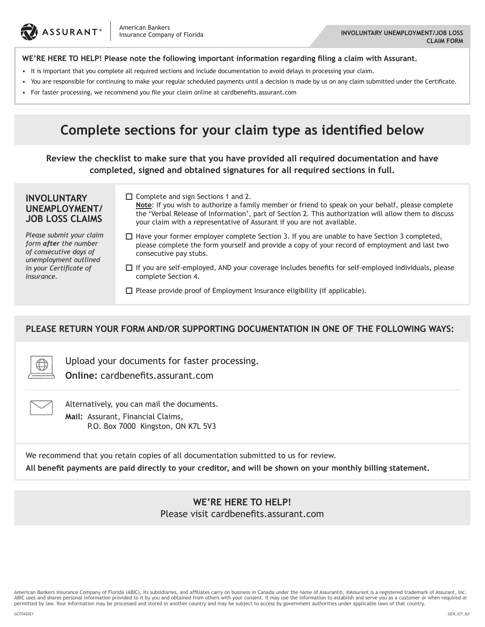

#### **WE'RE HERE TO HELP! Please note the following important information regarding filing a claim with Assurant.**

- It is important that you complete all required sections and include documentation to avoid delays in processing your claim.
- • You are responsible for continuing to make your regular scheduled payments until a decision is made by us on any claim submitted under the Certificate.
- • For faster processing, we recommend you file your claim online at cardbenefits.assurant.com

# **Complete sections for your claim type as identified below**

**Review the checklist to make sure that you have provided all required documentation and have completed, signed and obtained signatures for all required sections in full.**

#### **INVOLUNTARY UNEMPLOYMENT/ JOB LOSS CLAIMS**

*Please submit your claim form after the number of consecutive days of unemployment outlined in your Certificate of Insurance.*

□ Complete and sign Sections 1 and 2.

**Note**: If you wish to authorize a family member or friend to speak on your behalf, please complete the 'Verbal Release of Information', part of Section 2. This authorization will allow them to discuss your claim with a representative of Assurant if you are not available.

- $\Box$  Have your former employer complete Section 3. If you are unable to have Section 3 completed, please complete the form yourself and provide a copy of your record of employment and last two consecutive pay stubs.
- $\Box$  If you are self-employed, AND your coverage includes benefits for self-employed individuals, please complete Section 4.
- $\square$  Please provide proof of Employment Insurance eligibility (if applicable).

### **PLEASE RETURN YOUR FORM AND/OR SUPPORTING DOCUMENTATION IN ONE OF THE FOLLOWING WAYS:**

Upload your documents for faster processing. **Online:** cardbenefits.assurant.com

Alternatively, you can mail the documents. **Mail:** Assurant, Financial Claims, P.O. Box 7000 Kingston, ON K7L 5V3

We recommend that you retain copies of all documentation submitted to us for review.

**All benefit payments are paid directly to your creditor, and will be shown on your monthly billing statement.**

**WE'RE HERE TO HELP!** Please visit cardbenefits.assurant.com

American Bankers Insurance Company of Florida (ABIC), its subsidiaries, and affiliates carry on business in Canada under the name of Assurant.® Assurant is a registered trademark of Assurant, Inc.<br>ABIC uses and shares pers permitted by law. Your information may be processed and stored in another country and may be subject to access by government authorities under applicable laws of that country.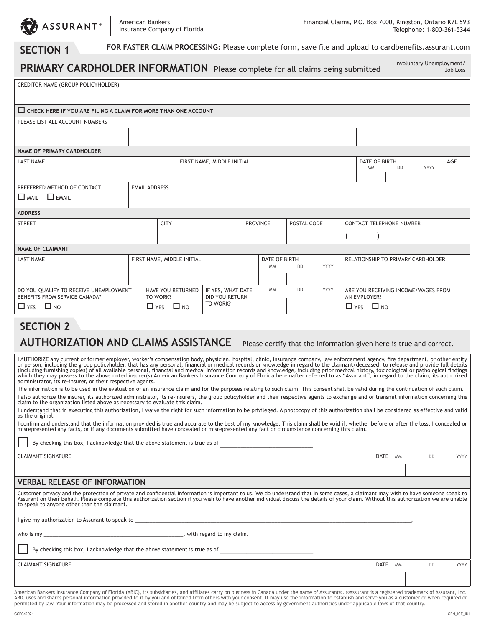

# **SECTION 1** FOR FASTER CLAIM PROCESSING: Please complete form, save file and upload to cardbenefits.assurant.com

| PRIMARY CARDHOLDER INFORMATION Please complete for all claims being submitted                                                                                                                                                                                                                                                                                             |                                      |                                     |  |           |           |                                |                                           |                      |                                    |                                     | Involuntary Unemployment/ | Job Loss |
|---------------------------------------------------------------------------------------------------------------------------------------------------------------------------------------------------------------------------------------------------------------------------------------------------------------------------------------------------------------------------|--------------------------------------|-------------------------------------|--|-----------|-----------|--------------------------------|-------------------------------------------|----------------------|------------------------------------|-------------------------------------|---------------------------|----------|
| CREDITOR NAME (GROUP POLICYHOLDER)                                                                                                                                                                                                                                                                                                                                        |                                      |                                     |  |           |           |                                |                                           |                      |                                    |                                     |                           |          |
| <b>THE CHECK HERE IF YOU ARE FILING A CLAIM FOR MORE THAN ONE ACCOUNT</b>                                                                                                                                                                                                                                                                                                 |                                      |                                     |  |           |           |                                |                                           |                      |                                    |                                     |                           |          |
| PLEASE LIST ALL ACCOUNT NUMBERS                                                                                                                                                                                                                                                                                                                                           |                                      |                                     |  |           |           |                                |                                           |                      |                                    |                                     |                           |          |
|                                                                                                                                                                                                                                                                                                                                                                           |                                      |                                     |  |           |           |                                |                                           |                      |                                    |                                     |                           |          |
| <b>NAME OF PRIMARY CARDHOLDER</b>                                                                                                                                                                                                                                                                                                                                         |                                      |                                     |  |           |           |                                |                                           |                      |                                    |                                     |                           |          |
| <b>LAST NAME</b>                                                                                                                                                                                                                                                                                                                                                          | FIRST NAME, MIDDLE INITIAL           |                                     |  |           |           |                                |                                           |                      | DATE OF BIRTH<br><b>MM</b>         | <b>DD</b>                           | <b>YYYY</b>               | AGE      |
| PREFERRED METHOD OF CONTACT<br>$\Box$ MAII $\Box$ FMAII                                                                                                                                                                                                                                                                                                                   | <b>EMAIL ADDRESS</b>                 |                                     |  |           |           |                                |                                           |                      |                                    |                                     |                           |          |
| <b>ADDRESS</b>                                                                                                                                                                                                                                                                                                                                                            |                                      |                                     |  |           |           |                                |                                           |                      |                                    |                                     |                           |          |
| <b>STREET</b><br><b>CITY</b>                                                                                                                                                                                                                                                                                                                                              |                                      |                                     |  |           |           | <b>PROVINCE</b><br>POSTAL CODE |                                           |                      |                                    | <b>CONTACT TELEPHONE NUMBER</b>     |                           |          |
|                                                                                                                                                                                                                                                                                                                                                                           |                                      |                                     |  |           |           |                                |                                           |                      |                                    |                                     |                           |          |
| <b>NAME OF CLAIMANT</b>                                                                                                                                                                                                                                                                                                                                                   |                                      |                                     |  |           |           |                                |                                           |                      |                                    |                                     |                           |          |
| <b>LAST NAME</b>                                                                                                                                                                                                                                                                                                                                                          | FIRST NAME, MIDDLE INITIAL           |                                     |  |           |           |                                | DATE OF BIRTH<br><b>DD</b><br><b>YYYY</b> |                      | RELATIONSHIP TO PRIMARY CARDHOLDER |                                     |                           |          |
|                                                                                                                                                                                                                                                                                                                                                                           |                                      |                                     |  |           | <b>MM</b> |                                |                                           |                      |                                    |                                     |                           |          |
| DO YOU QUALIFY TO RECEIVE UNEMPLOYMENT<br>BENEFITS FROM SERVICE CANADA?                                                                                                                                                                                                                                                                                                   | <b>HAVE YOU RETURNED</b><br>TO WORK? | IF YES, WHAT DATE<br>DID YOU RETURN |  | <b>MM</b> | <b>DD</b> | YYYY                           |                                           | AN EMPLOYER?         |                                    | ARE YOU RECEIVING INCOME/WAGES FROM |                           |          |
| $\Box$ YES $\Box$ NO                                                                                                                                                                                                                                                                                                                                                      | $\Box$ YES $\Box$ NO                 | TO WORK?                            |  |           |           |                                |                                           | $\Box$ YES $\Box$ NO |                                    |                                     |                           |          |
| <b>SECTION 2</b>                                                                                                                                                                                                                                                                                                                                                          |                                      |                                     |  |           |           |                                |                                           |                      |                                    |                                     |                           |          |
| <b>AUTHORIZATION AND CLAIMS ASSISTANCE</b><br>Please certify that the information given here is true and correct.                                                                                                                                                                                                                                                         |                                      |                                     |  |           |           |                                |                                           |                      |                                    |                                     |                           |          |
| I AUTHORIZE any current or former employer, worker's compensation body, physician, hospital, clinic, insurance company, law enforcement agency, fire department, or other entity<br>or porson, including the group policyholder, that has any personal, financial or modical records or knowledge in regard to the claimant/decoased, to release and provide full details |                                      |                                     |  |           |           |                                |                                           |                      |                                    |                                     |                           |          |

I AUTHORIZE any current or former employer, worker's compensation body, physician, hospital, clinic, insurance company, law enforcement agency, fire department, or other entity<br>or person, including the group policyholder, which they may possess to the above noted insurer(s) American Bankers Insurance Company of Florida hereinafter referred to as "Assurant", in regard to the claim, its authorized administrator, its re-insurer, or their respective agents.

The information is to be used in the evaluation of an insurance claim and for the purposes relating to such claim. This consent shall be valid during the continuation of such claim. I also authorize the insurer, its authorized administrator, its re-insurers, the group policyholder and their respective agents to exchange and or transmit information concerning this claim to the organization listed above as necessary to evaluate this claim.

I understand that in executing this authorization, I waive the right for such information to be privileged. A photocopy of this authorization shall be considered as effective and valid as the original.

I confirm and understand that the information provided is true and accurate to the best of my knowledge. This claim shall be void if, whether before or after the loss, I concealed or misrepresented any facts, or if any documents submitted have concealed or misrepresented any fact or circumstance concerning this claim.

By checking this box, I acknowledge that the above statement is true as of

CLAIMANT SIGNATURE DATE MM DD YYYY

#### **VERBAL RELEASE OF INFORMATION**

Customer privacy and the protection of private and confidential information is important to us. We do understand that in some cases, a claimant may wish to have someone speak to Assurant on their behalf. Please complete this authorization section if you wish to have another individual discuss the details of your claim. Without this authorization we are unable to speak to anyone other than the claimant.

I give my authorization to Assurant to speak to \_

who is my \_\_\_\_\_\_\_\_\_\_\_\_\_\_\_\_\_\_\_\_\_\_\_\_\_\_\_\_\_\_\_\_\_\_\_\_\_\_\_\_\_\_\_\_\_\_\_\_, with regard to my claim.

By checking this box, I acknowledge that the above statement is true as of

CLAIMANT SIGNATURE DATE MM DD YYYY

American Bankers Insurance Company of Florida (ABIC), its subsidiaries, and affiliates carry on business in Canada under the name of Assurant.® Assurant is a registered trademark of Assurant, Inc.<br>ABIC uses and shares pers permitted by law. Your information may be processed and stored in another country and may be subject to access by government authorities under applicable laws of that country.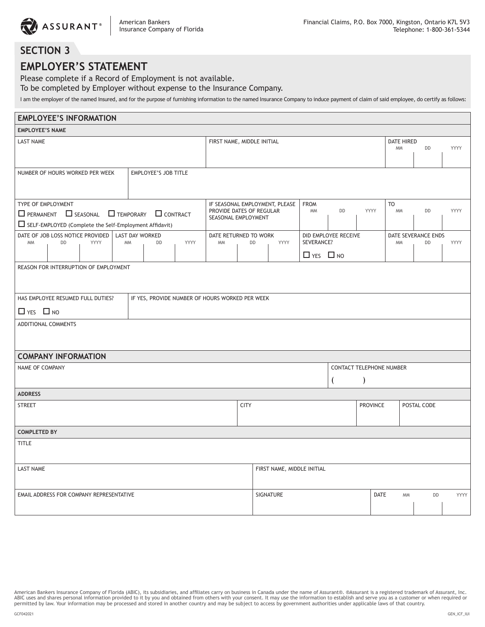# **SECTION 3**

## **EMPLOYER'S STATEMENT**

Please complete if a Record of Employment is not available.

To be completed by Employer without expense to the Insurance Company.

I am the employer of the named Insured, and for the purpose of furnishing information to the named Insurance Company to induce payment of claim of said employee, do certify as follows:

| <b>EMPLOYEE'S INFORMATION</b>                                                                                                                     |                      |      |                        |                                                                                   |             |                       |                          |                            |                                    |                        |                  |           |                     |      |  |
|---------------------------------------------------------------------------------------------------------------------------------------------------|----------------------|------|------------------------|-----------------------------------------------------------------------------------|-------------|-----------------------|--------------------------|----------------------------|------------------------------------|------------------------|------------------|-----------|---------------------|------|--|
| <b>EMPLOYEE'S NAME</b>                                                                                                                            |                      |      |                        |                                                                                   |             |                       |                          |                            |                                    |                        |                  |           |                     |      |  |
| LAST NAME                                                                                                                                         |                      |      |                        | FIRST NAME, MIDDLE INITIAL                                                        |             |                       |                          |                            |                                    |                        | DATE HIRED<br>DD | YYYY      |                     |      |  |
|                                                                                                                                                   |                      |      |                        |                                                                                   |             |                       |                          |                            |                                    |                        |                  |           |                     |      |  |
| <b>EMPLOYEE'S JOB TITLE</b><br>NUMBER OF HOURS WORKED PER WEEK                                                                                    |                      |      |                        |                                                                                   |             |                       |                          |                            |                                    |                        |                  |           |                     |      |  |
| TYPE OF EMPLOYMENT<br>$\Box$ PERMANENT $\Box$ SEASONAL $\Box$ TEMPORARY $\Box$ CONTRACT<br>SELF-EMPLOYED (Complete the Self-Employment Affidavit) |                      |      |                        | IF SEASONAL EMPLOYMENT, PLEASE<br>PROVIDE DATES OF REGULAR<br>SEASONAL EMPLOYMENT |             |                       | <b>FROM</b><br><b>MM</b> | DD                         | YYYY                               | <b>TO</b><br><b>MM</b> | DD               | YYYY      |                     |      |  |
| DATE OF JOB LOSS NOTICE PROVIDED                                                                                                                  |                      |      | <b>LAST DAY WORKED</b> |                                                                                   |             | DATE RETURNED TO WORK |                          |                            |                                    | DID EMPLOYEE RECEIVE   |                  |           | DATE SEVERANCE ENDS |      |  |
| <b>MM</b>                                                                                                                                         | DD                   | YYYY | <b>MM</b>              | DD                                                                                | YYYY        | <b>MM</b>             | DD                       | YYYY                       | SEVERANCE?<br>$\Box$ YES $\Box$ NO |                        |                  | <b>MM</b> | DD                  | YYYY |  |
|                                                                                                                                                   |                      |      |                        |                                                                                   |             |                       |                          |                            |                                    |                        |                  |           |                     |      |  |
| REASON FOR INTERRUPTION OF EMPLOYMENT                                                                                                             |                      |      |                        |                                                                                   |             |                       |                          |                            |                                    |                        |                  |           |                     |      |  |
| HAS EMPLOYEE RESUMED FULL DUTIES?<br>IF YES, PROVIDE NUMBER OF HOURS WORKED PER WEEK                                                              |                      |      |                        |                                                                                   |             |                       |                          |                            |                                    |                        |                  |           |                     |      |  |
|                                                                                                                                                   | $\Box$ YES $\Box$ NO |      |                        |                                                                                   |             |                       |                          |                            |                                    |                        |                  |           |                     |      |  |
| ADDITIONAL COMMENTS                                                                                                                               |                      |      |                        |                                                                                   |             |                       |                          |                            |                                    |                        |                  |           |                     |      |  |
| <b>COMPANY INFORMATION</b>                                                                                                                        |                      |      |                        |                                                                                   |             |                       |                          |                            |                                    |                        |                  |           |                     |      |  |
| NAME OF COMPANY                                                                                                                                   |                      |      |                        | <b>CONTACT TELEPHONE NUMBER</b>                                                   |             |                       |                          |                            |                                    |                        |                  |           |                     |      |  |
|                                                                                                                                                   |                      |      |                        |                                                                                   |             |                       |                          |                            |                                    |                        | $\mathcal{E}$    |           |                     |      |  |
| <b>ADDRESS</b>                                                                                                                                    |                      |      |                        |                                                                                   |             |                       |                          |                            |                                    |                        |                  |           |                     |      |  |
| <b>STREET</b>                                                                                                                                     |                      |      |                        |                                                                                   | <b>CITY</b> |                       |                          |                            | <b>PROVINCE</b>                    | POSTAL CODE            |                  |           |                     |      |  |
| <b>COMPLETED BY</b>                                                                                                                               |                      |      |                        |                                                                                   |             |                       |                          |                            |                                    |                        |                  |           |                     |      |  |
| <b>TITLE</b>                                                                                                                                      |                      |      |                        |                                                                                   |             |                       |                          |                            |                                    |                        |                  |           |                     |      |  |
| <b>LAST NAME</b>                                                                                                                                  |                      |      |                        |                                                                                   |             |                       |                          | FIRST NAME, MIDDLE INITIAL |                                    |                        |                  |           |                     |      |  |
| EMAIL ADDRESS FOR COMPANY REPRESENTATIVE                                                                                                          |                      |      |                        |                                                                                   |             |                       |                          | SIGNATURE                  |                                    |                        | DATE             | <b>MM</b> | DD                  | YYYY |  |

American Bankers Insurance Company of Florida (ABIC), its subsidiaries, and affiliates carry on business in Canada under the name of Assurant.®. ®Assurant is a registered trademark of Assurant, Inc.<br>ABIC uses and shares pe